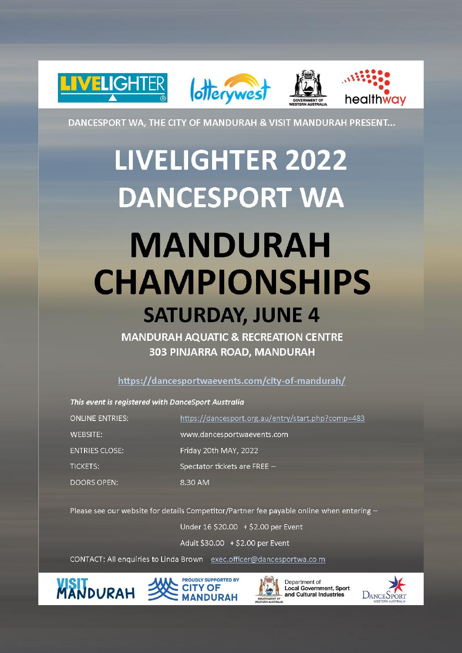

DANCESPORT WA, THE CITY OF MANDURAH & VISIT MANDURAH PRESENT...

## **LIVELIGHTER 2022 DANCESPORT WA**

### **MANDURAH CHAMPIONSHIPS SATURDAY, JUNE 4**

**MANDURAH AOUATIC & RECREATION CENTRE 303 PINJARRA ROAD, MANDURAH** 

https://dancesportwaevents.com/city-of-mandurah/

This event is registered with DanceSport Australia

| <b>ONLINE ENTRIES:</b> | https://dancesport.org.au/entry/start.php?comp=483 |
|------------------------|----------------------------------------------------|
| WEBSITE:               | www.dancesportwaevents.com                         |
| <b>ENTRIES CLOSE:</b>  | Friday 20th MAY, 2022                              |
| <b>TICKETS:</b>        | Spectator tickets are FREE -                       |
| <b>DOORS OPEN:</b>     | 8.30 AM                                            |

Please see our website for details Competitor/Partner fee payable online when entering -

Under 16 \$20.00 + \$2.00 per Event

Adult \$30.00 + \$2.00 per Event

CONTACT: All enquiries to Linda Brown exec.officer@dancesportwa.com







Department of **Local Government, Sport** and Cultural Industries

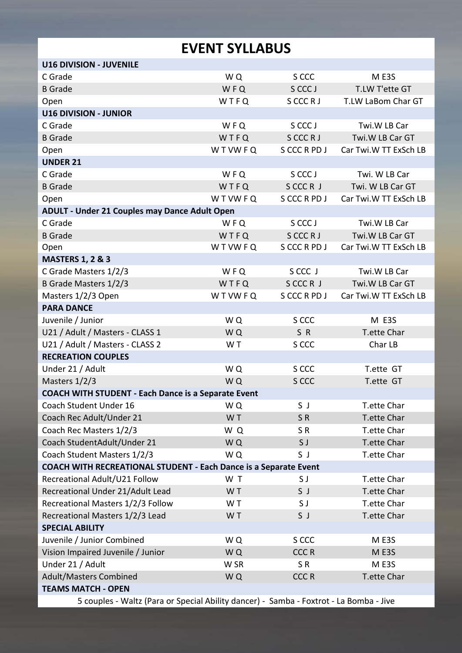### **EVENT SYLLABUS**

| <b>U16 DIVISION - JUVENILE</b>                                                         |              |              |                       |  |  |
|----------------------------------------------------------------------------------------|--------------|--------------|-----------------------|--|--|
| C Grade                                                                                | WQ           | S CCC        | M E3S                 |  |  |
| <b>B</b> Grade                                                                         | WFQ          | S CCC J      | T.LW T'ette GT        |  |  |
| Open                                                                                   | WTFQ         | S CCC R J    | T.LW LaBom Char GT    |  |  |
| <b>U16 DIVISION - JUNIOR</b>                                                           |              |              |                       |  |  |
| C Grade                                                                                | WFQ          | S CCC J      | Twi.W LB Car          |  |  |
| <b>B</b> Grade                                                                         | WTFQ         | S CCC R J    | Twi.W LB Car GT       |  |  |
| Open                                                                                   | <b>WTWFQ</b> | S CCC R PD J | Car Twi.W TT ExSch LB |  |  |
| <b>UNDER 21</b>                                                                        |              |              |                       |  |  |
| C Grade                                                                                | WFQ          | S CCC J      | Twi. W LB Car         |  |  |
| <b>B</b> Grade                                                                         | WTFQ         | SCCCR J      | Twi. W LB Car GT      |  |  |
| Open                                                                                   | WTWFQ        | S CCC R PD J | Car Twi.W TT ExSch LB |  |  |
| ADULT - Under 21 Couples may Dance Adult Open                                          |              |              |                       |  |  |
| C Grade                                                                                | <b>WFQ</b>   | S CCC J      | Twi.W LB Car          |  |  |
| <b>B</b> Grade                                                                         | WTFQ         | S CCC R J    | Twi.W LB Car GT       |  |  |
| Open                                                                                   | WTWFQ        | S CCC R PD J | Car Twi.W TT ExSch LB |  |  |
| <b>MASTERS 1, 2 &amp; 3</b>                                                            |              |              |                       |  |  |
| C Grade Masters 1/2/3                                                                  | WFQ          | S CCC J      | Twi.W LB Car          |  |  |
| B Grade Masters 1/2/3                                                                  | WTFQ         | SCCCR J      | Twi.W LB Car GT       |  |  |
| Masters 1/2/3 Open                                                                     | WTWFQ        | S CCC R PD J | Car Twi.W TT ExSch LB |  |  |
| <b>PARA DANCE</b>                                                                      |              |              |                       |  |  |
| Juvenile / Junior                                                                      | WQ           | S CCC        | M E3S                 |  |  |
| U21 / Adult / Masters - CLASS 1                                                        | WQ           | SR           | T.ette Char           |  |  |
| U21 / Adult / Masters - CLASS 2                                                        | W T          | S CCC        | Char LB               |  |  |
| <b>RECREATION COUPLES</b>                                                              |              |              |                       |  |  |
| Under 21 / Adult                                                                       | WQ           | S CCC        | T.ette GT             |  |  |
| Masters 1/2/3                                                                          | WQ           | S CCC        | T.ette GT             |  |  |
| <b>COACH WITH STUDENT - Each Dance is a Separate Event</b>                             |              |              |                       |  |  |
| Coach Student Under 16                                                                 | WQ           | S J          | T.ette Char           |  |  |
| Coach Rec Adult/Under 21                                                               | WT           | SR           | T.ette Char           |  |  |
| Coach Rec Masters 1/2/3                                                                | WQ           | SR.          | T.ette Char           |  |  |
| Coach StudentAdult/Under 21                                                            | WQ           | S J          | T.ette Char           |  |  |
| Coach Student Masters 1/2/3                                                            | WQ           | SJ           | T.ette Char           |  |  |
| COACH WITH RECREATIONAL STUDENT - Each Dance is a Separate Event                       |              |              |                       |  |  |
| Recreational Adult/U21 Follow                                                          | WT           | S J          | T.ette Char           |  |  |
| Recreational Under 21/Adult Lead                                                       | WT           | S J          | T.ette Char           |  |  |
| Recreational Masters 1/2/3 Follow                                                      | WT           | S J          | T.ette Char           |  |  |
| Recreational Masters 1/2/3 Lead                                                        | WT           | S J          | T.ette Char           |  |  |
| <b>SPECIAL ABILITY</b>                                                                 |              |              |                       |  |  |
| Juvenile / Junior Combined                                                             | WQ           | S CCC        | M E3S                 |  |  |
| Vision Impaired Juvenile / Junior                                                      | WQ           | <b>CCCR</b>  | ME3S                  |  |  |
| Under 21 / Adult                                                                       | W SR         | SR.          | M E3S                 |  |  |
| Adult/Masters Combined                                                                 | WQ           | <b>CCCR</b>  | T.ette Char           |  |  |
| <b>TEAMS MATCH - OPEN</b>                                                              |              |              |                       |  |  |
| 5 couples - Waltz (Para or Special Ability dancer) - Samba - Foxtrot - La Bomba - Jive |              |              |                       |  |  |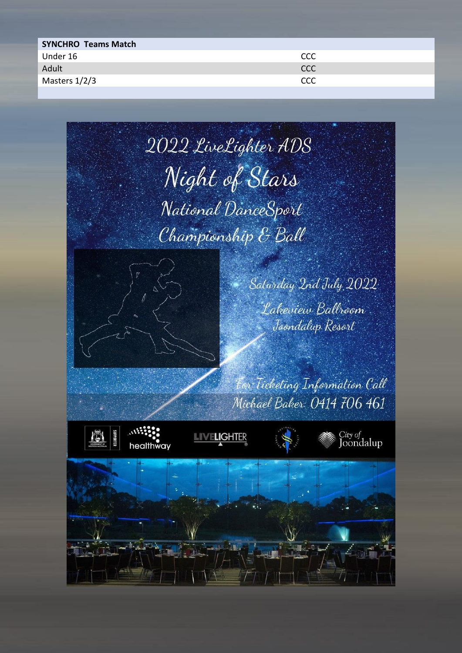| <b>SYNCHRO Teams Match</b> |      |
|----------------------------|------|
| Under 16                   | CCC  |
| Adult                      | CCC. |
| Masters 1/2/3              | CCC  |

















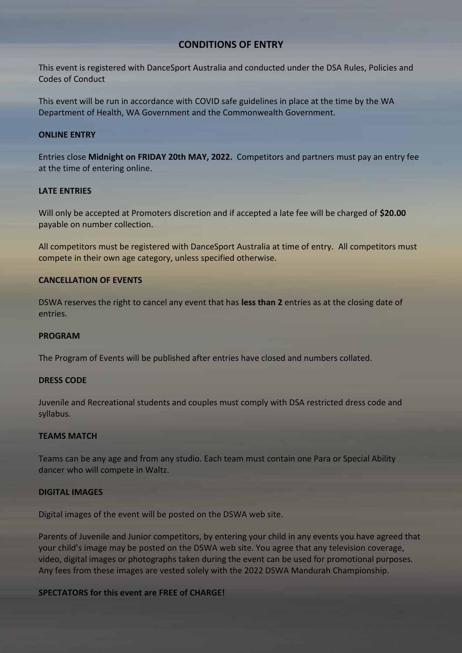#### **CONDITIONS OF ENTRY**

This event is registered with DanceSport Australia and conducted under the DSA Rules, Policies and Codes of Conduct

This event will be run in accordance with COVID safe guidelines in place at the time by the WA Department of Health, WA Government and the Commonwealth Government.

#### **ONLINE ENTRY**

Entries close **Midnight on FRIDAY 20th MAY, 2022.** Competitors and partners must pay an entry fee at the time of entering online.

#### **LATE ENTRIES**

Will only be accepted at Promoters discretion and if accepted a late fee will be charged of **\$20.00** payable on number collection.

All competitors must be registered with DanceSport Australia at time of entry. All competitors must compete in their own age category, unless specified otherwise.

#### **CANCELLATION OF EVENTS**

DSWA reserves the right to cancel any event that has **less than 2** entries as at the closing date of entries.

#### **PROGRAM**

The Program of Events will be published after entries have closed and numbers collated.

#### **DRESS CODE**

Juvenile and Recreational students and couples must comply with DSA restricted dress code and syllabus.

#### **TEAMS MATCH**

Teams can be any age and from any studio. Each team must contain one Para or Special Ability dancer who will compete in Waltz.

#### **DIGITAL IMAGES**

Digital images of the event will be posted on the DSWA web site.

Parents of Juvenile and Junior competitors, by entering your child in any events you have agreed that your child's image may be posted on the DSWA web site. You agree that any television coverage, video, digital images or photographs taken during the event can be used for promotional purposes. Any fees from these images are vested solely with the 2022 DSWA Mandurah Championship.

#### **SPECTATORS for this event are FREE of CHARGE!**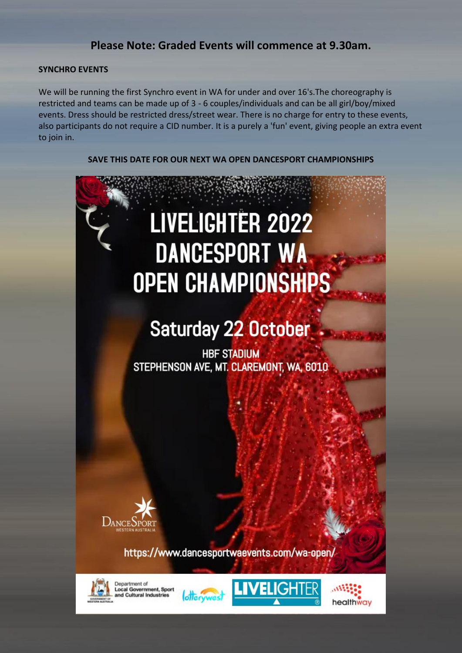#### **Please Note: Graded Events will commence at 9.30am.**

#### **SYNCHRO EVENTS**

We will be running the first Synchro event in WA for under and over 16's. The choreography is restricted and teams can be made up of 3 - 6 couples/individuals and can be all girl/boy/mixed events. Dress should be restricted dress/street wear. There is no charge for entry to these events, also participants do not require a CID number. It is a purely a 'fun' event, giving people an extra event to join in.

**SAVE THIS DATE FOR OUR NEXT WA OPEN DANCESPORT CHAMPIONSHIPS**

# **LIVELIGHTER 2022 DANCESPORT WA OPEN CHAMPIONSHIPS**

### **Saturday 22 October**

**HBF STADIUM** STEPHENSON AVE, MT. CLAREMONT, WA, 6010



https://www.dancesportwaevents.com/wa-open/



Department of **Local Government, Sport**<br>and Cultural Industries